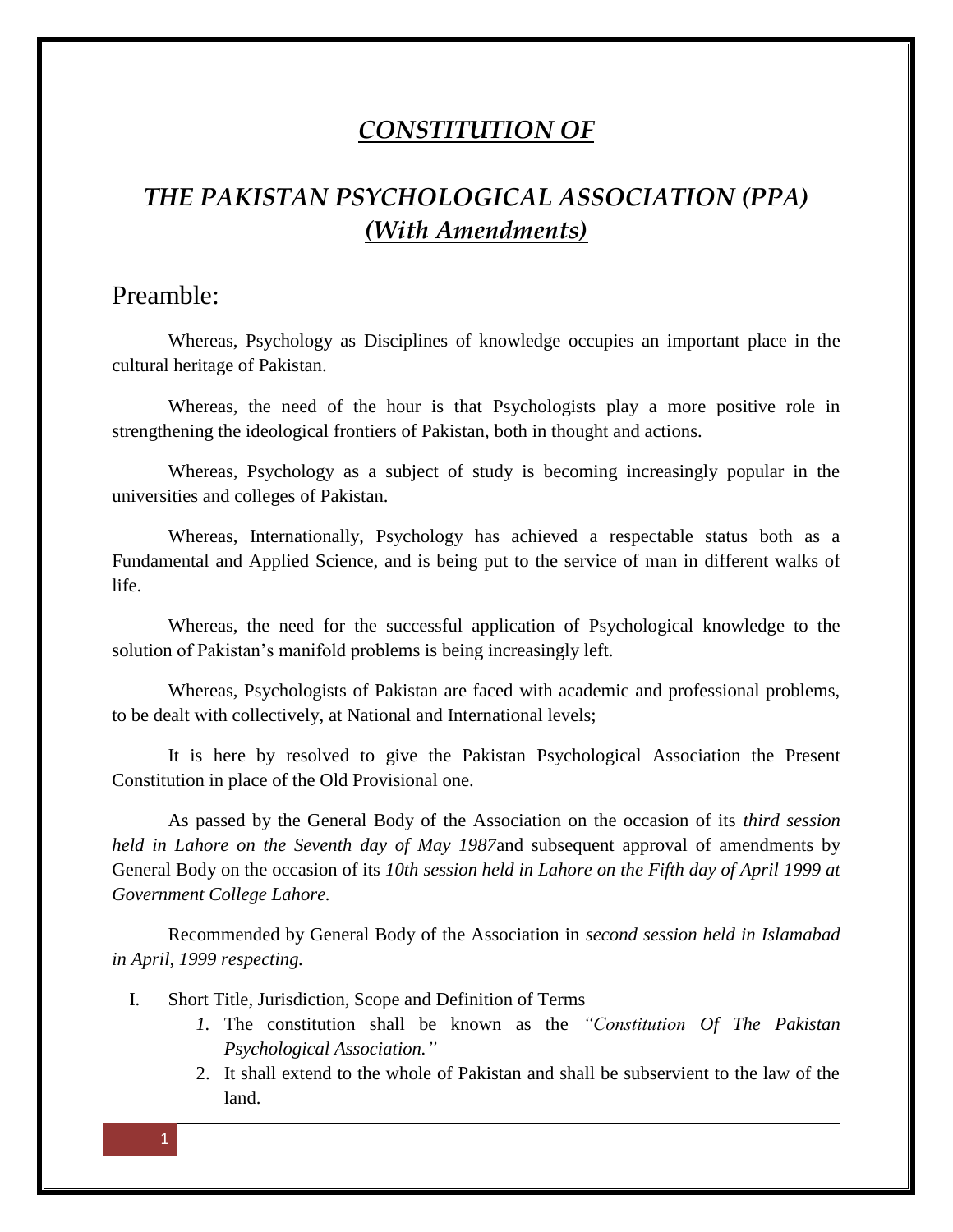## *CONSTITUTION OF*

# *THE PAKISTAN PSYCHOLOGICAL ASSOCIATION (PPA) (With Amendments)*

## Preamble:

Whereas, Psychology as Disciplines of knowledge occupies an important place in the cultural heritage of Pakistan.

Whereas, the need of the hour is that Psychologists play a more positive role in strengthening the ideological frontiers of Pakistan, both in thought and actions.

Whereas, Psychology as a subject of study is becoming increasingly popular in the universities and colleges of Pakistan.

Whereas, Internationally, Psychology has achieved a respectable status both as a Fundamental and Applied Science, and is being put to the service of man in different walks of life.

Whereas, the need for the successful application of Psychological knowledge to the solution of Pakistan's manifold problems is being increasingly left.

Whereas, Psychologists of Pakistan are faced with academic and professional problems, to be dealt with collectively, at National and International levels;

It is here by resolved to give the Pakistan Psychological Association the Present Constitution in place of the Old Provisional one.

As passed by the General Body of the Association on the occasion of its *third session held in Lahore on the Seventh day of May 1987*and subsequent approval of amendments by General Body on the occasion of its *10th session held in Lahore on the Fifth day of April 1999 at Government College Lahore.*

Recommended by General Body of the Association in *second session held in Islamabad in April, 1999 respecting.*

- I. Short Title, Jurisdiction, Scope and Definition of Terms
	- *1.* The constitution shall be known as the *"Constitution Of The Pakistan Psychological Association."*
	- 2. It shall extend to the whole of Pakistan and shall be subservient to the law of the land.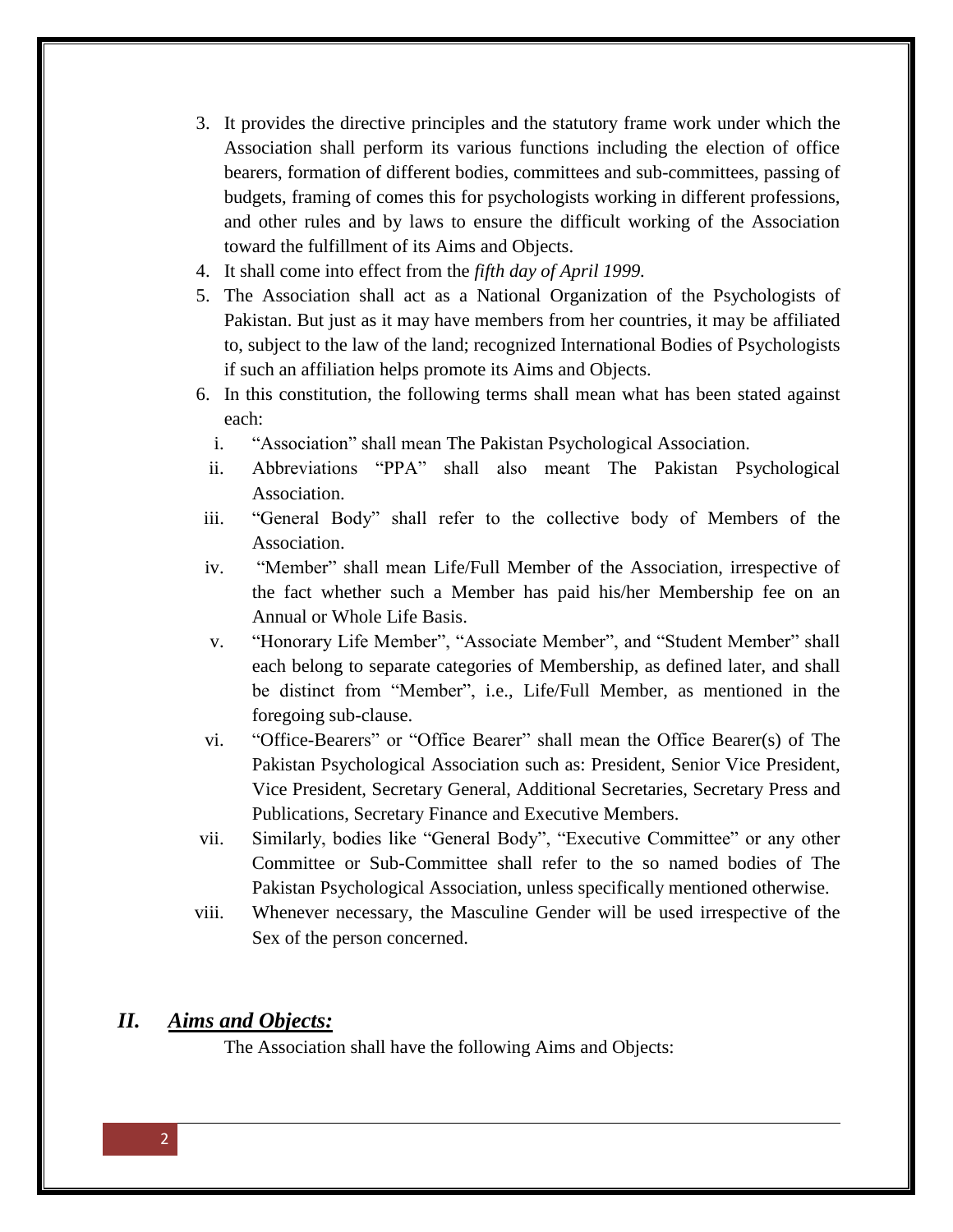- 3. It provides the directive principles and the statutory frame work under which the Association shall perform its various functions including the election of office bearers, formation of different bodies, committees and sub-committees, passing of budgets, framing of comes this for psychologists working in different professions, and other rules and by laws to ensure the difficult working of the Association toward the fulfillment of its Aims and Objects.
- 4. It shall come into effect from the *fifth day of April 1999.*
- 5. The Association shall act as a National Organization of the Psychologists of Pakistan. But just as it may have members from her countries, it may be affiliated to, subject to the law of the land; recognized International Bodies of Psychologists if such an affiliation helps promote its Aims and Objects.
- 6. In this constitution, the following terms shall mean what has been stated against each:
	- i. "Association" shall mean The Pakistan Psychological Association.
	- ii. Abbreviations "PPA" shall also meant The Pakistan Psychological Association.
- iii. "General Body" shall refer to the collective body of Members of the Association.
- iv. "Member" shall mean Life/Full Member of the Association, irrespective of the fact whether such a Member has paid his/her Membership fee on an Annual or Whole Life Basis.
- v. "Honorary Life Member", "Associate Member", and "Student Member" shall each belong to separate categories of Membership, as defined later, and shall be distinct from "Member", i.e., Life/Full Member, as mentioned in the foregoing sub-clause.
- vi. "Office-Bearers" or "Office Bearer" shall mean the Office Bearer(s) of The Pakistan Psychological Association such as: President, Senior Vice President, Vice President, Secretary General, Additional Secretaries, Secretary Press and Publications, Secretary Finance and Executive Members.
- vii. Similarly, bodies like "General Body", "Executive Committee" or any other Committee or Sub-Committee shall refer to the so named bodies of The Pakistan Psychological Association, unless specifically mentioned otherwise.
- viii. Whenever necessary, the Masculine Gender will be used irrespective of the Sex of the person concerned.

## *II. Aims and Objects:*

The Association shall have the following Aims and Objects: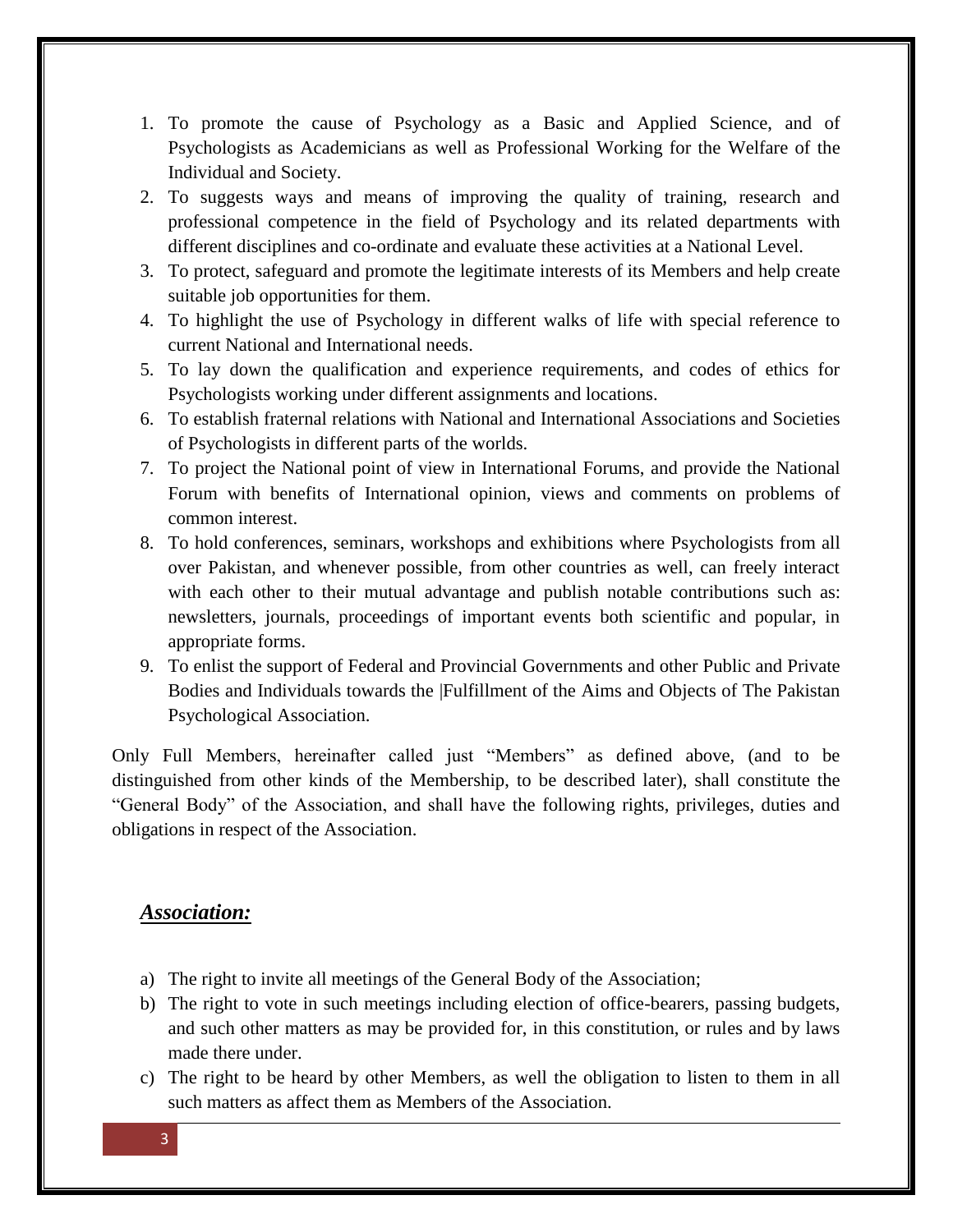- 1. To promote the cause of Psychology as a Basic and Applied Science, and of Psychologists as Academicians as well as Professional Working for the Welfare of the Individual and Society.
- 2. To suggests ways and means of improving the quality of training, research and professional competence in the field of Psychology and its related departments with different disciplines and co-ordinate and evaluate these activities at a National Level.
- 3. To protect, safeguard and promote the legitimate interests of its Members and help create suitable job opportunities for them.
- 4. To highlight the use of Psychology in different walks of life with special reference to current National and International needs.
- 5. To lay down the qualification and experience requirements, and codes of ethics for Psychologists working under different assignments and locations.
- 6. To establish fraternal relations with National and International Associations and Societies of Psychologists in different parts of the worlds.
- 7. To project the National point of view in International Forums, and provide the National Forum with benefits of International opinion, views and comments on problems of common interest.
- 8. To hold conferences, seminars, workshops and exhibitions where Psychologists from all over Pakistan, and whenever possible, from other countries as well, can freely interact with each other to their mutual advantage and publish notable contributions such as: newsletters, journals, proceedings of important events both scientific and popular, in appropriate forms.
- 9. To enlist the support of Federal and Provincial Governments and other Public and Private Bodies and Individuals towards the |Fulfillment of the Aims and Objects of The Pakistan Psychological Association.

Only Full Members, hereinafter called just "Members" as defined above, (and to be distinguished from other kinds of the Membership, to be described later), shall constitute the "General Body" of the Association, and shall have the following rights, privileges, duties and obligations in respect of the Association.

## *Association:*

- a) The right to invite all meetings of the General Body of the Association;
- b) The right to vote in such meetings including election of office-bearers, passing budgets, and such other matters as may be provided for, in this constitution, or rules and by laws made there under.
- c) The right to be heard by other Members, as well the obligation to listen to them in all such matters as affect them as Members of the Association.

3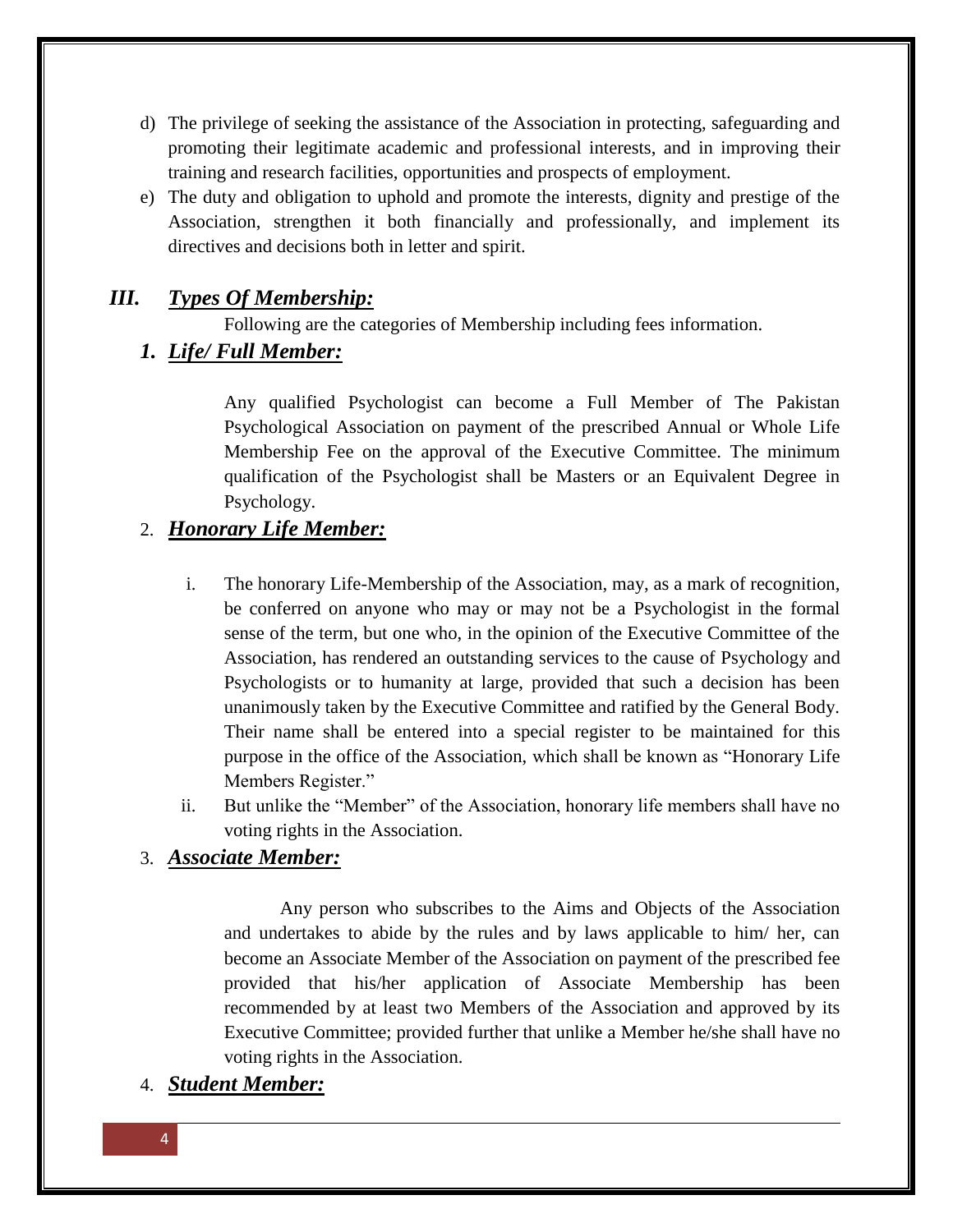- d) The privilege of seeking the assistance of the Association in protecting, safeguarding and promoting their legitimate academic and professional interests, and in improving their training and research facilities, opportunities and prospects of employment.
- e) The duty and obligation to uphold and promote the interests, dignity and prestige of the Association, strengthen it both financially and professionally, and implement its directives and decisions both in letter and spirit.

## *III. Types Of Membership:*

Following are the categories of Membership including fees information.

## *1. Life/ Full Member:*

Any qualified Psychologist can become a Full Member of The Pakistan Psychological Association on payment of the prescribed Annual or Whole Life Membership Fee on the approval of the Executive Committee. The minimum qualification of the Psychologist shall be Masters or an Equivalent Degree in Psychology.

## 2. *Honorary Life Member:*

- i. The honorary Life-Membership of the Association, may, as a mark of recognition, be conferred on anyone who may or may not be a Psychologist in the formal sense of the term, but one who, in the opinion of the Executive Committee of the Association, has rendered an outstanding services to the cause of Psychology and Psychologists or to humanity at large, provided that such a decision has been unanimously taken by the Executive Committee and ratified by the General Body. Their name shall be entered into a special register to be maintained for this purpose in the office of the Association, which shall be known as "Honorary Life Members Register."
- ii. But unlike the "Member" of the Association, honorary life members shall have no voting rights in the Association.

## 3. *Associate Member:*

Any person who subscribes to the Aims and Objects of the Association and undertakes to abide by the rules and by laws applicable to him/ her, can become an Associate Member of the Association on payment of the prescribed fee provided that his/her application of Associate Membership has been recommended by at least two Members of the Association and approved by its Executive Committee; provided further that unlike a Member he/she shall have no voting rights in the Association.

## 4. *Student Member:*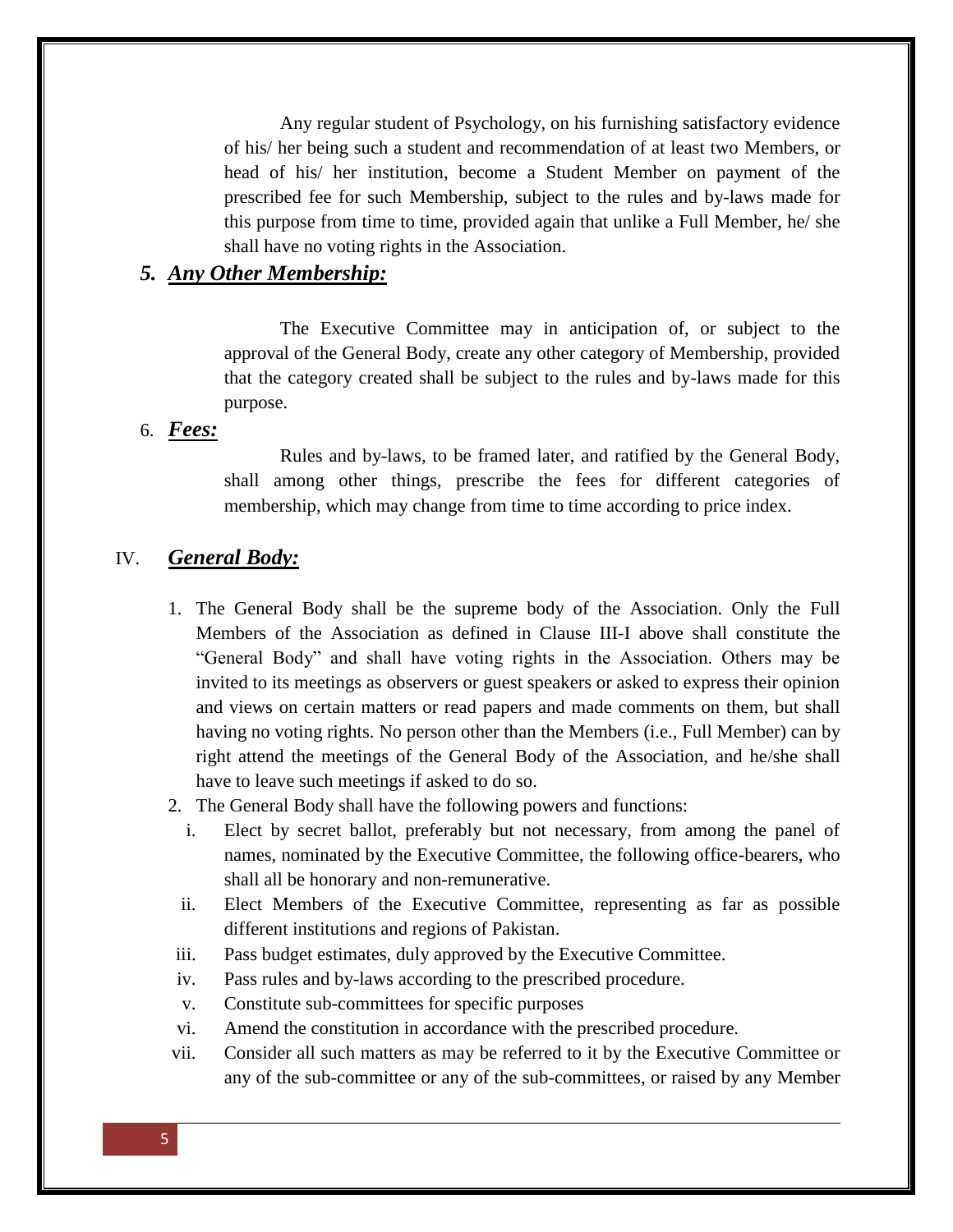Any regular student of Psychology, on his furnishing satisfactory evidence of his/ her being such a student and recommendation of at least two Members, or head of his/ her institution, become a Student Member on payment of the prescribed fee for such Membership, subject to the rules and by-laws made for this purpose from time to time, provided again that unlike a Full Member, he/ she shall have no voting rights in the Association.

## *5. Any Other Membership:*

The Executive Committee may in anticipation of, or subject to the approval of the General Body, create any other category of Membership, provided that the category created shall be subject to the rules and by-laws made for this purpose.

## 6. *Fees:*

Rules and by-laws, to be framed later, and ratified by the General Body, shall among other things, prescribe the fees for different categories of membership, which may change from time to time according to price index.

## IV. *General Body:*

- 1. The General Body shall be the supreme body of the Association. Only the Full Members of the Association as defined in Clause III-I above shall constitute the "General Body" and shall have voting rights in the Association. Others may be invited to its meetings as observers or guest speakers or asked to express their opinion and views on certain matters or read papers and made comments on them, but shall having no voting rights. No person other than the Members (i.e., Full Member) can by right attend the meetings of the General Body of the Association, and he/she shall have to leave such meetings if asked to do so.
- 2. The General Body shall have the following powers and functions:
	- i. Elect by secret ballot, preferably but not necessary, from among the panel of names, nominated by the Executive Committee, the following office-bearers, who shall all be honorary and non-remunerative.
	- ii. Elect Members of the Executive Committee, representing as far as possible different institutions and regions of Pakistan.
- iii. Pass budget estimates, duly approved by the Executive Committee.
- iv. Pass rules and by-laws according to the prescribed procedure.
- v. Constitute sub-committees for specific purposes
- vi. Amend the constitution in accordance with the prescribed procedure.
- vii. Consider all such matters as may be referred to it by the Executive Committee or any of the sub-committee or any of the sub-committees, or raised by any Member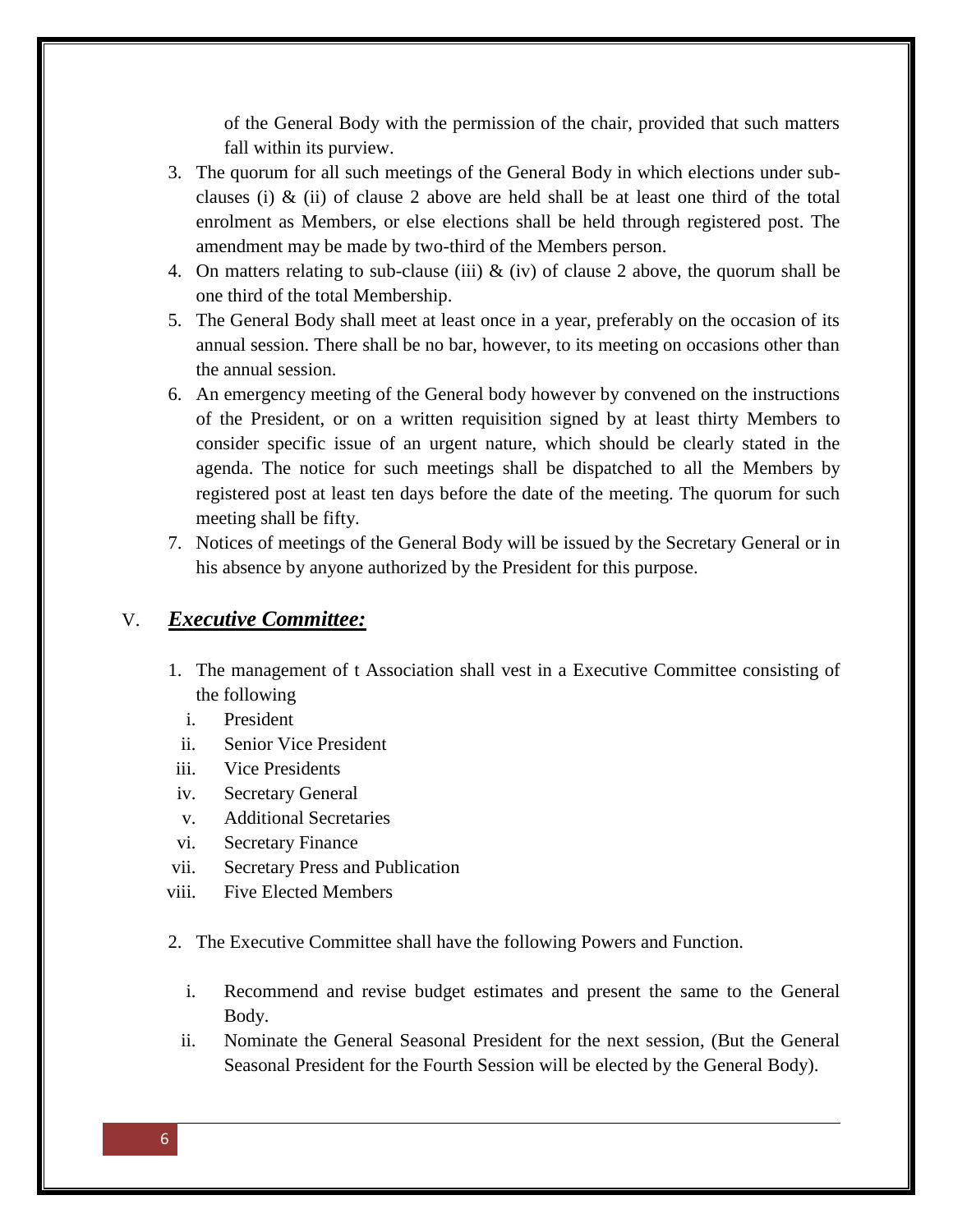of the General Body with the permission of the chair, provided that such matters fall within its purview.

- 3. The quorum for all such meetings of the General Body in which elections under subclauses (i)  $\&$  (ii) of clause 2 above are held shall be at least one third of the total enrolment as Members, or else elections shall be held through registered post. The amendment may be made by two-third of the Members person.
- 4. On matters relating to sub-clause (iii)  $\&$  (iv) of clause 2 above, the quorum shall be one third of the total Membership.
- 5. The General Body shall meet at least once in a year, preferably on the occasion of its annual session. There shall be no bar, however, to its meeting on occasions other than the annual session.
- 6. An emergency meeting of the General body however by convened on the instructions of the President, or on a written requisition signed by at least thirty Members to consider specific issue of an urgent nature, which should be clearly stated in the agenda. The notice for such meetings shall be dispatched to all the Members by registered post at least ten days before the date of the meeting. The quorum for such meeting shall be fifty.
- 7. Notices of meetings of the General Body will be issued by the Secretary General or in his absence by anyone authorized by the President for this purpose.

## V. *Executive Committee:*

- 1. The management of t Association shall vest in a Executive Committee consisting of the following
	- i. President
- ii. Senior Vice President
- iii. Vice Presidents
- iv. Secretary General
- v. Additional Secretaries
- vi. Secretary Finance
- vii. Secretary Press and Publication
- viii. Five Elected Members
- 2. The Executive Committee shall have the following Powers and Function.
	- i. Recommend and revise budget estimates and present the same to the General Body.
	- ii. Nominate the General Seasonal President for the next session, (But the General Seasonal President for the Fourth Session will be elected by the General Body).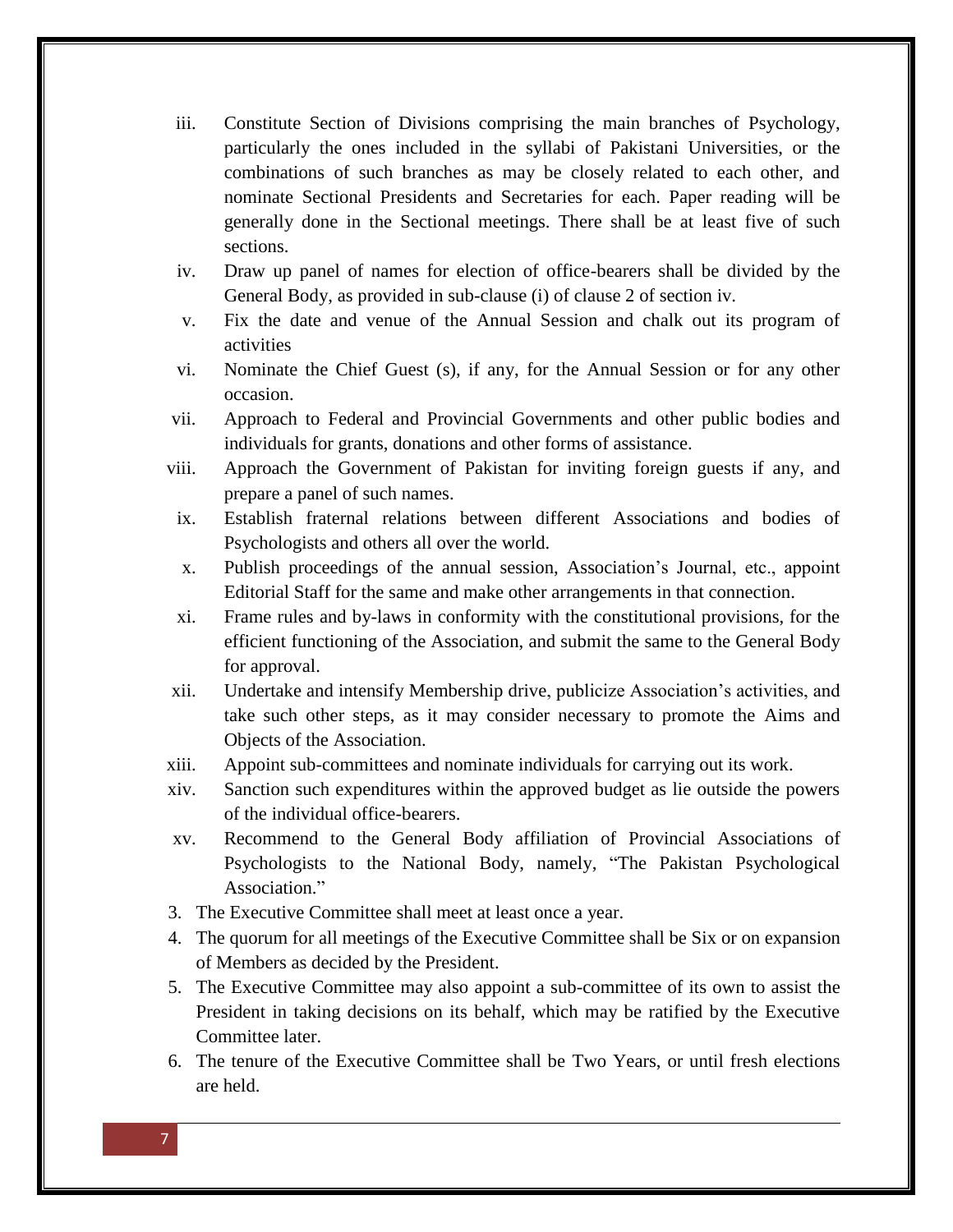- iii. Constitute Section of Divisions comprising the main branches of Psychology, particularly the ones included in the syllabi of Pakistani Universities, or the combinations of such branches as may be closely related to each other, and nominate Sectional Presidents and Secretaries for each. Paper reading will be generally done in the Sectional meetings. There shall be at least five of such sections.
- iv. Draw up panel of names for election of office-bearers shall be divided by the General Body, as provided in sub-clause (i) of clause 2 of section iv.
- v. Fix the date and venue of the Annual Session and chalk out its program of activities
- vi. Nominate the Chief Guest (s), if any, for the Annual Session or for any other occasion.
- vii. Approach to Federal and Provincial Governments and other public bodies and individuals for grants, donations and other forms of assistance.
- viii. Approach the Government of Pakistan for inviting foreign guests if any, and prepare a panel of such names.
- ix. Establish fraternal relations between different Associations and bodies of Psychologists and others all over the world.
- x. Publish proceedings of the annual session, Association's Journal, etc., appoint Editorial Staff for the same and make other arrangements in that connection.
- xi. Frame rules and by-laws in conformity with the constitutional provisions, for the efficient functioning of the Association, and submit the same to the General Body for approval.
- xii. Undertake and intensify Membership drive, publicize Association's activities, and take such other steps, as it may consider necessary to promote the Aims and Objects of the Association.
- xiii. Appoint sub-committees and nominate individuals for carrying out its work.
- xiv. Sanction such expenditures within the approved budget as lie outside the powers of the individual office-bearers.
- xv. Recommend to the General Body affiliation of Provincial Associations of Psychologists to the National Body, namely, "The Pakistan Psychological Association."
- 3. The Executive Committee shall meet at least once a year.
- 4. The quorum for all meetings of the Executive Committee shall be Six or on expansion of Members as decided by the President.
- 5. The Executive Committee may also appoint a sub-committee of its own to assist the President in taking decisions on its behalf, which may be ratified by the Executive Committee later.
- 6. The tenure of the Executive Committee shall be Two Years, or until fresh elections are held.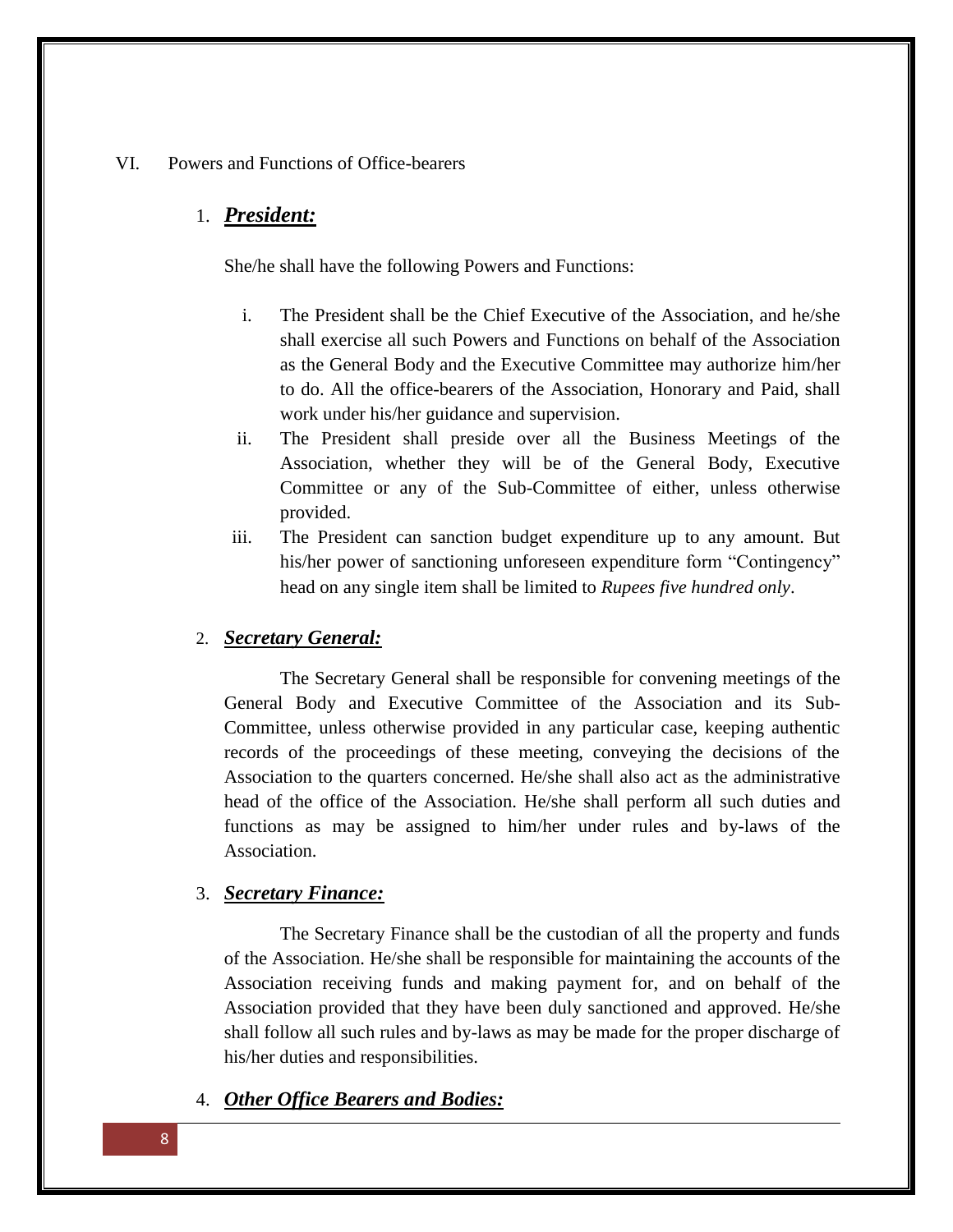#### VI. Powers and Functions of Office-bearers

#### 1. *President:*

She/he shall have the following Powers and Functions:

- i. The President shall be the Chief Executive of the Association, and he/she shall exercise all such Powers and Functions on behalf of the Association as the General Body and the Executive Committee may authorize him/her to do. All the office-bearers of the Association, Honorary and Paid, shall work under his/her guidance and supervision.
- ii. The President shall preside over all the Business Meetings of the Association, whether they will be of the General Body, Executive Committee or any of the Sub-Committee of either, unless otherwise provided.
- iii. The President can sanction budget expenditure up to any amount. But his/her power of sanctioning unforeseen expenditure form "Contingency" head on any single item shall be limited to *Rupees five hundred only*.

#### 2. *Secretary General:*

The Secretary General shall be responsible for convening meetings of the General Body and Executive Committee of the Association and its Sub-Committee, unless otherwise provided in any particular case, keeping authentic records of the proceedings of these meeting, conveying the decisions of the Association to the quarters concerned. He/she shall also act as the administrative head of the office of the Association. He/she shall perform all such duties and functions as may be assigned to him/her under rules and by-laws of the Association.

#### 3. *Secretary Finance:*

The Secretary Finance shall be the custodian of all the property and funds of the Association. He/she shall be responsible for maintaining the accounts of the Association receiving funds and making payment for, and on behalf of the Association provided that they have been duly sanctioned and approved. He/she shall follow all such rules and by-laws as may be made for the proper discharge of his/her duties and responsibilities.

### 4. *Other Office Bearers and Bodies:*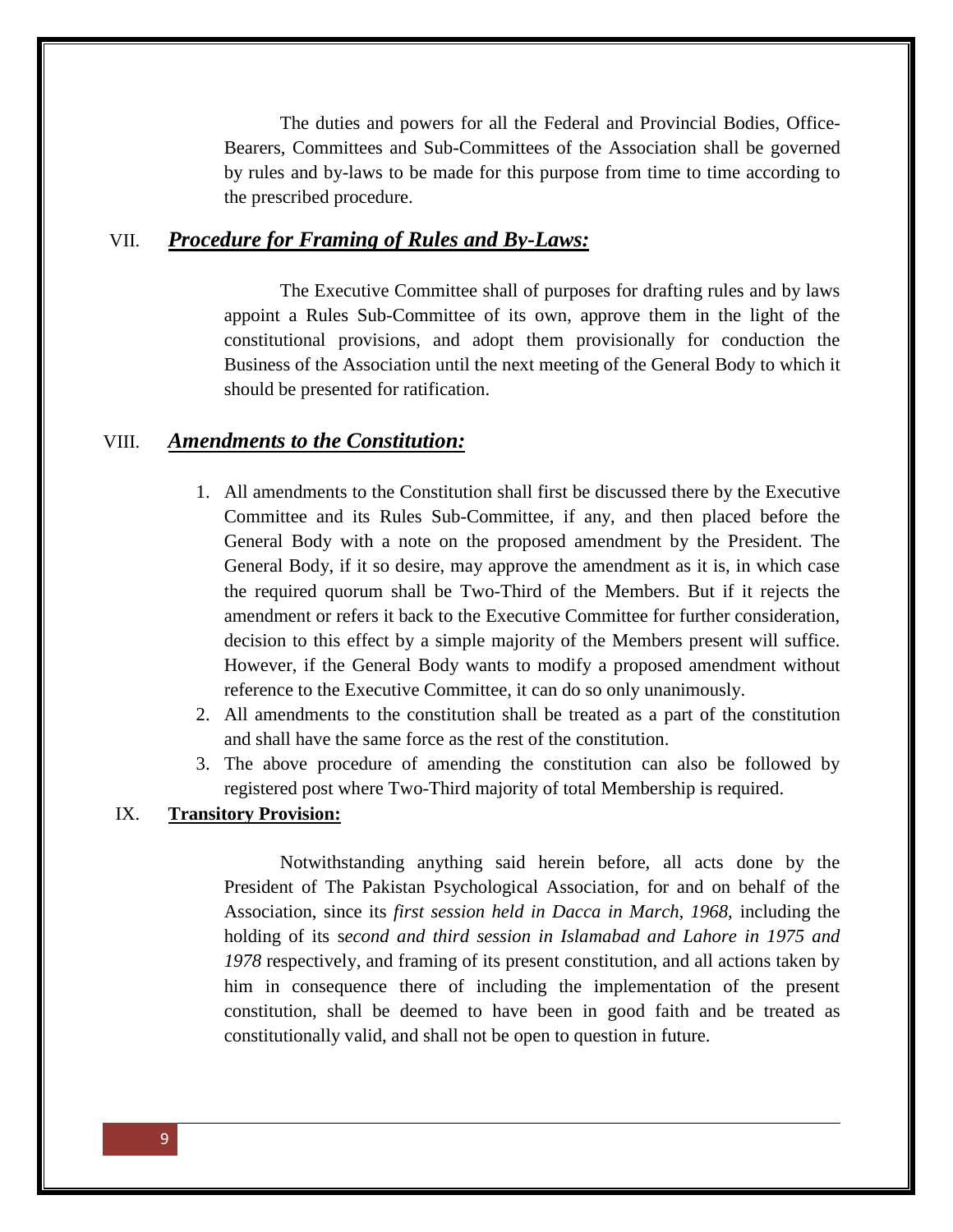The duties and powers for all the Federal and Provincial Bodies, Office-Bearers, Committees and Sub-Committees of the Association shall be governed by rules and by-laws to be made for this purpose from time to time according to the prescribed procedure.

## VII. *Procedure for Framing of Rules and By-Laws:*

The Executive Committee shall of purposes for drafting rules and by laws appoint a Rules Sub-Committee of its own, approve them in the light of the constitutional provisions, and adopt them provisionally for conduction the Business of the Association until the next meeting of the General Body to which it should be presented for ratification.

#### VIII. *Amendments to the Constitution:*

- 1. All amendments to the Constitution shall first be discussed there by the Executive Committee and its Rules Sub-Committee, if any, and then placed before the General Body with a note on the proposed amendment by the President. The General Body, if it so desire, may approve the amendment as it is, in which case the required quorum shall be Two-Third of the Members. But if it rejects the amendment or refers it back to the Executive Committee for further consideration, decision to this effect by a simple majority of the Members present will suffice. However, if the General Body wants to modify a proposed amendment without reference to the Executive Committee, it can do so only unanimously.
- 2. All amendments to the constitution shall be treated as a part of the constitution and shall have the same force as the rest of the constitution.
- 3. The above procedure of amending the constitution can also be followed by registered post where Two-Third majority of total Membership is required.

#### IX. **Transitory Provision:**

Notwithstanding anything said herein before, all acts done by the President of The Pakistan Psychological Association, for and on behalf of the Association, since its *first session held in Dacca in March, 1968,* including the holding of its s*econd and third session in Islamabad and Lahore in 1975 and 1978* respectively, and framing of its present constitution, and all actions taken by him in consequence there of including the implementation of the present constitution, shall be deemed to have been in good faith and be treated as constitutionally valid, and shall not be open to question in future.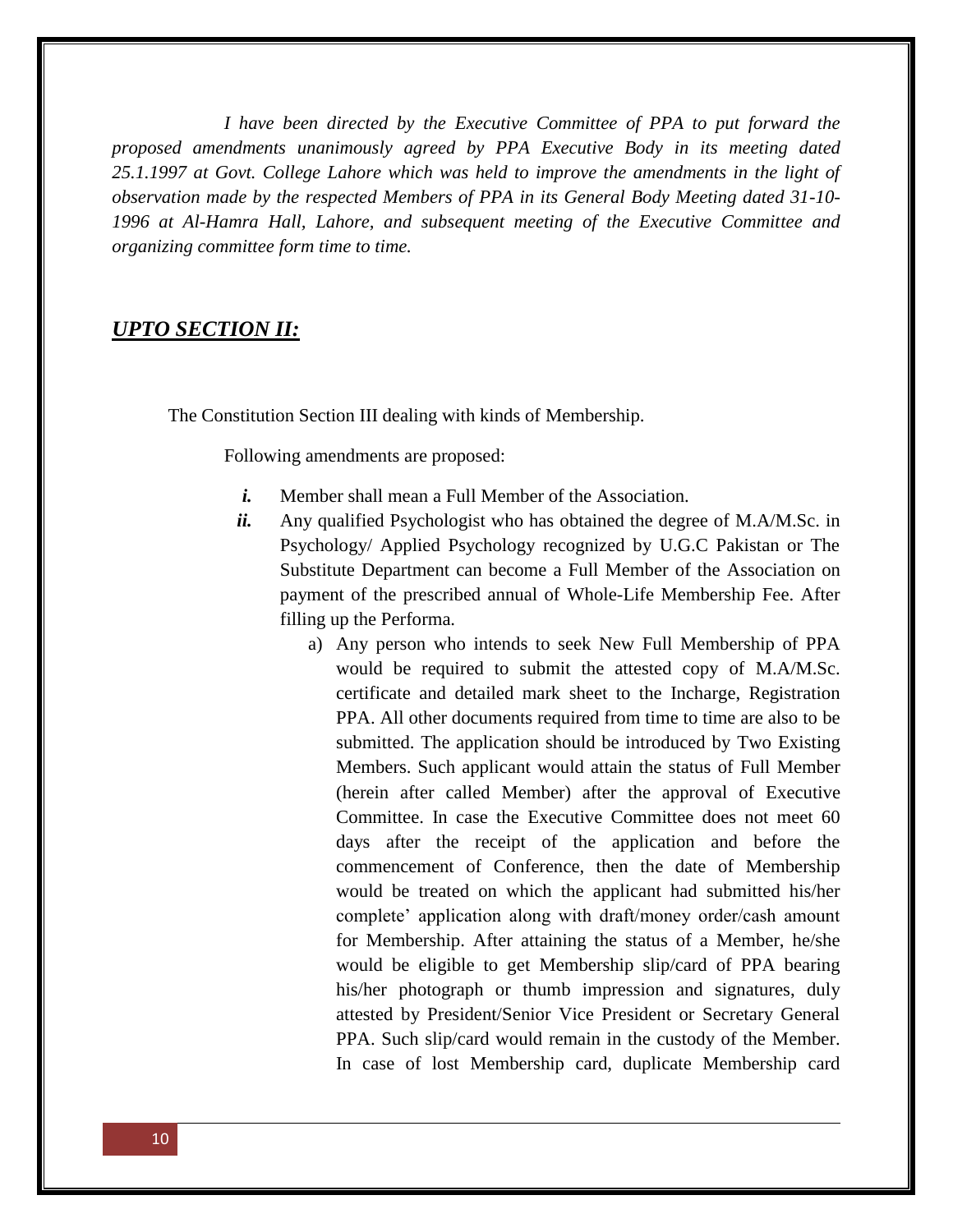*I have been directed by the Executive Committee of PPA to put forward the proposed amendments unanimously agreed by PPA Executive Body in its meeting dated 25.1.1997 at Govt. College Lahore which was held to improve the amendments in the light of observation made by the respected Members of PPA in its General Body Meeting dated 31-10- 1996 at Al-Hamra Hall, Lahore, and subsequent meeting of the Executive Committee and organizing committee form time to time.*

## *UPTO SECTION II:*

The Constitution Section III dealing with kinds of Membership.

Following amendments are proposed:

- *i.* Member shall mean a Full Member of the Association.
- *ii.* Any qualified Psychologist who has obtained the degree of M.A/M.Sc. in Psychology/ Applied Psychology recognized by U.G.C Pakistan or The Substitute Department can become a Full Member of the Association on payment of the prescribed annual of Whole-Life Membership Fee. After filling up the Performa.
	- a) Any person who intends to seek New Full Membership of PPA would be required to submit the attested copy of M.A/M.Sc. certificate and detailed mark sheet to the Incharge, Registration PPA. All other documents required from time to time are also to be submitted. The application should be introduced by Two Existing Members. Such applicant would attain the status of Full Member (herein after called Member) after the approval of Executive Committee. In case the Executive Committee does not meet 60 days after the receipt of the application and before the commencement of Conference, then the date of Membership would be treated on which the applicant had submitted his/her complete' application along with draft/money order/cash amount for Membership. After attaining the status of a Member, he/she would be eligible to get Membership slip/card of PPA bearing his/her photograph or thumb impression and signatures, duly attested by President/Senior Vice President or Secretary General PPA. Such slip/card would remain in the custody of the Member. In case of lost Membership card, duplicate Membership card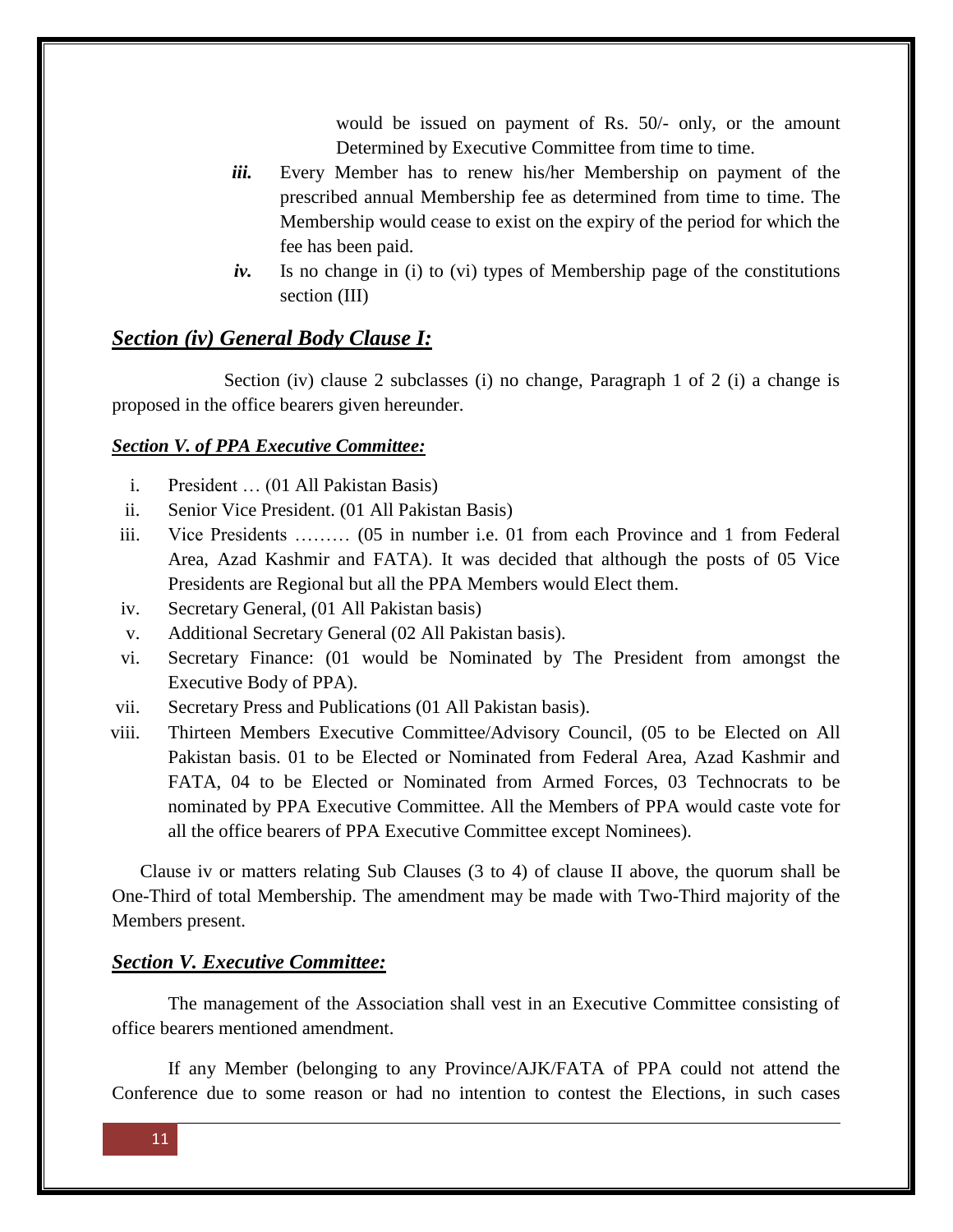would be issued on payment of Rs. 50/- only, or the amount Determined by Executive Committee from time to time.

- *iii.* Every Member has to renew his/her Membership on payment of the prescribed annual Membership fee as determined from time to time. The Membership would cease to exist on the expiry of the period for which the fee has been paid.
- *iv.* Is no change in (i) to (vi) types of Membership page of the constitutions section (III)

#### *Section (iv) General Body Clause I:*

Section (iv) clause 2 subclasses (i) no change, Paragraph 1 of 2 (i) a change is proposed in the office bearers given hereunder.

#### *Section V. of PPA Executive Committee:*

- i. President … (01 All Pakistan Basis)
- ii. Senior Vice President. (01 All Pakistan Basis)
- iii. Vice Presidents ……… (05 in number i.e. 01 from each Province and 1 from Federal Area, Azad Kashmir and FATA). It was decided that although the posts of 05 Vice Presidents are Regional but all the PPA Members would Elect them.
- iv. Secretary General, (01 All Pakistan basis)
- v. Additional Secretary General (02 All Pakistan basis).
- vi. Secretary Finance: (01 would be Nominated by The President from amongst the Executive Body of PPA).
- vii. Secretary Press and Publications (01 All Pakistan basis).
- viii. Thirteen Members Executive Committee/Advisory Council, (05 to be Elected on All Pakistan basis. 01 to be Elected or Nominated from Federal Area, Azad Kashmir and FATA, 04 to be Elected or Nominated from Armed Forces, 03 Technocrats to be nominated by PPA Executive Committee. All the Members of PPA would caste vote for all the office bearers of PPA Executive Committee except Nominees).

Clause iv or matters relating Sub Clauses (3 to 4) of clause II above, the quorum shall be One-Third of total Membership. The amendment may be made with Two-Third majority of the Members present.

#### *Section V. Executive Committee:*

The management of the Association shall vest in an Executive Committee consisting of office bearers mentioned amendment.

If any Member (belonging to any Province/AJK/FATA of PPA could not attend the Conference due to some reason or had no intention to contest the Elections, in such cases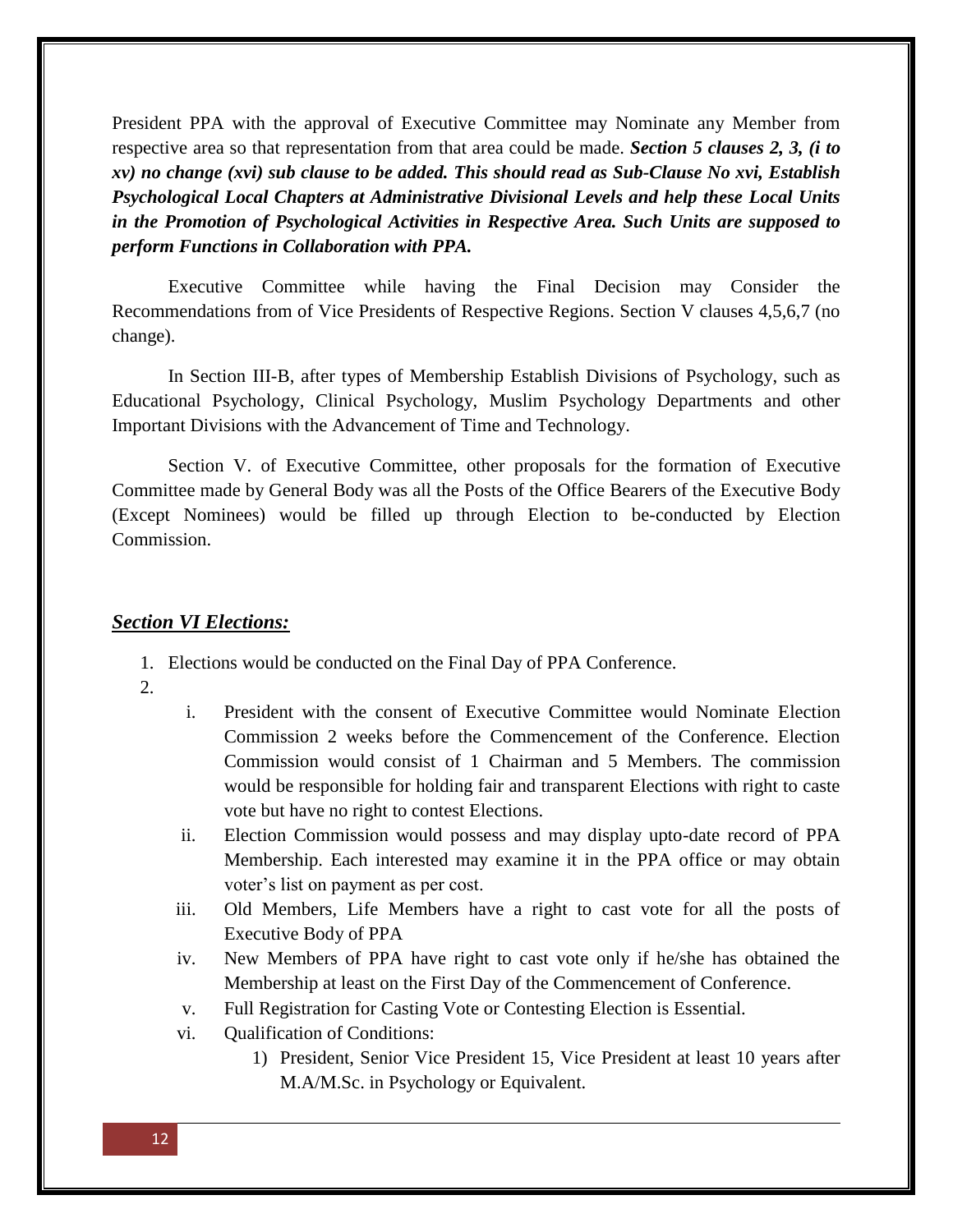President PPA with the approval of Executive Committee may Nominate any Member from respective area so that representation from that area could be made. *Section 5 clauses 2, 3, (i to xv) no change (xvi) sub clause to be added. This should read as Sub-Clause No xvi, Establish Psychological Local Chapters at Administrative Divisional Levels and help these Local Units in the Promotion of Psychological Activities in Respective Area. Such Units are supposed to perform Functions in Collaboration with PPA.*

Executive Committee while having the Final Decision may Consider the Recommendations from of Vice Presidents of Respective Regions. Section V clauses 4,5,6,7 (no change).

In Section III-B, after types of Membership Establish Divisions of Psychology, such as Educational Psychology, Clinical Psychology, Muslim Psychology Departments and other Important Divisions with the Advancement of Time and Technology.

Section V. of Executive Committee, other proposals for the formation of Executive Committee made by General Body was all the Posts of the Office Bearers of the Executive Body (Except Nominees) would be filled up through Election to be-conducted by Election Commission.

#### *Section VI Elections:*

1. Elections would be conducted on the Final Day of PPA Conference.

- $2<sub>1</sub>$
- i. President with the consent of Executive Committee would Nominate Election Commission 2 weeks before the Commencement of the Conference. Election Commission would consist of 1 Chairman and 5 Members. The commission would be responsible for holding fair and transparent Elections with right to caste vote but have no right to contest Elections.
- ii. Election Commission would possess and may display upto-date record of PPA Membership. Each interested may examine it in the PPA office or may obtain voter's list on payment as per cost.
- iii. Old Members, Life Members have a right to cast vote for all the posts of Executive Body of PPA
- iv. New Members of PPA have right to cast vote only if he/she has obtained the Membership at least on the First Day of the Commencement of Conference.
- v. Full Registration for Casting Vote or Contesting Election is Essential.
- vi. Qualification of Conditions:
	- 1) President, Senior Vice President 15, Vice President at least 10 years after M.A/M.Sc. in Psychology or Equivalent.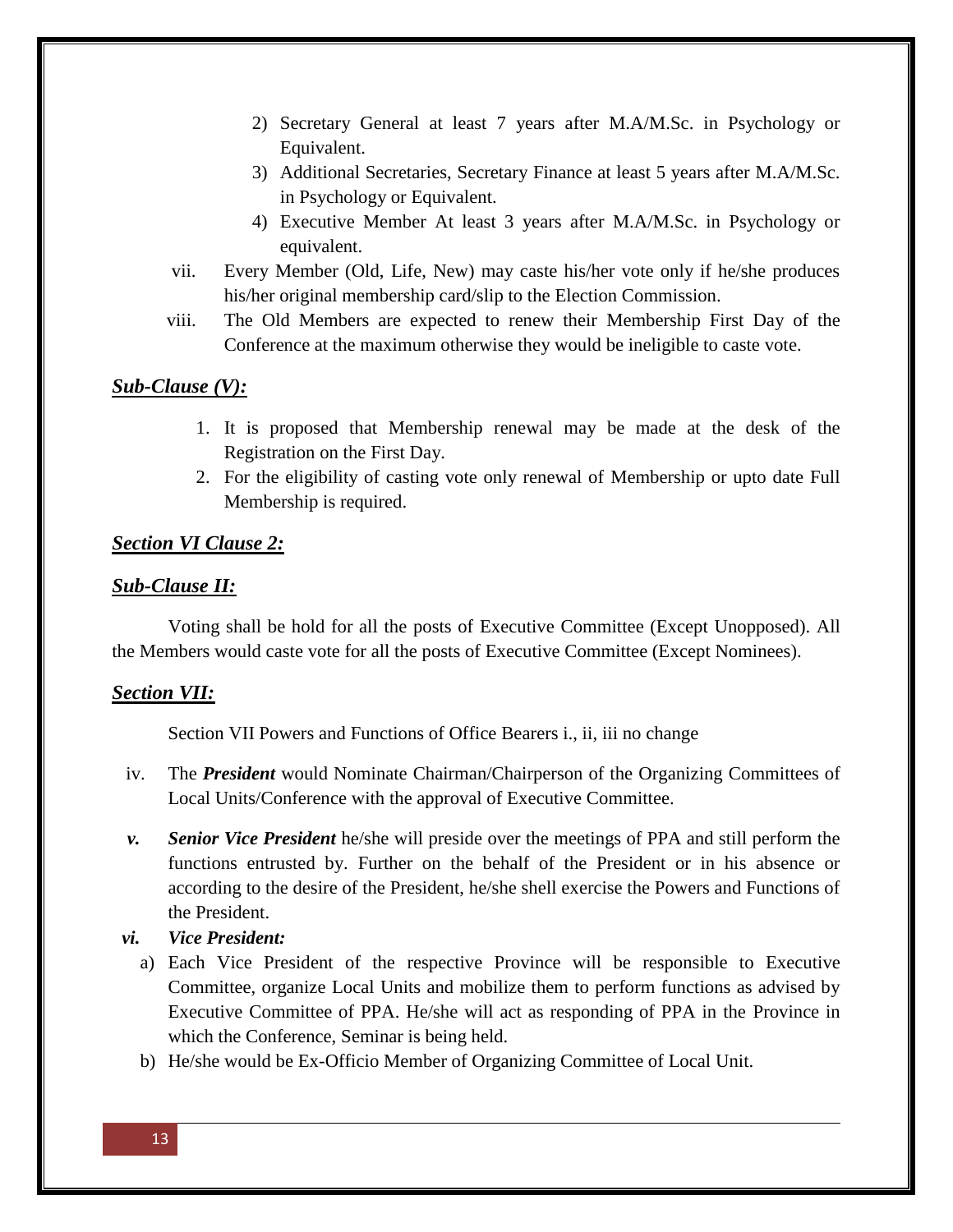- 2) Secretary General at least 7 years after M.A/M.Sc. in Psychology or Equivalent.
- 3) Additional Secretaries, Secretary Finance at least 5 years after M.A/M.Sc. in Psychology or Equivalent.
- 4) Executive Member At least 3 years after M.A/M.Sc. in Psychology or equivalent.
- vii. Every Member (Old, Life, New) may caste his/her vote only if he/she produces his/her original membership card/slip to the Election Commission.
- viii. The Old Members are expected to renew their Membership First Day of the Conference at the maximum otherwise they would be ineligible to caste vote.

## *Sub-Clause (V):*

- 1. It is proposed that Membership renewal may be made at the desk of the Registration on the First Day.
- 2. For the eligibility of casting vote only renewal of Membership or upto date Full Membership is required.

#### *Section VI Clause 2:*

#### *Sub-Clause II:*

Voting shall be hold for all the posts of Executive Committee (Except Unopposed). All the Members would caste vote for all the posts of Executive Committee (Except Nominees).

#### *Section VII:*

Section VII Powers and Functions of Office Bearers i., ii, iii no change

- iv. The *President* would Nominate Chairman/Chairperson of the Organizing Committees of Local Units/Conference with the approval of Executive Committee.
- *v. Senior Vice President* he/she will preside over the meetings of PPA and still perform the functions entrusted by. Further on the behalf of the President or in his absence or according to the desire of the President, he/she shell exercise the Powers and Functions of the President.
- *vi. Vice President:*
	- a) Each Vice President of the respective Province will be responsible to Executive Committee, organize Local Units and mobilize them to perform functions as advised by Executive Committee of PPA. He/she will act as responding of PPA in the Province in which the Conference, Seminar is being held.
	- b) He/she would be Ex-Officio Member of Organizing Committee of Local Unit.